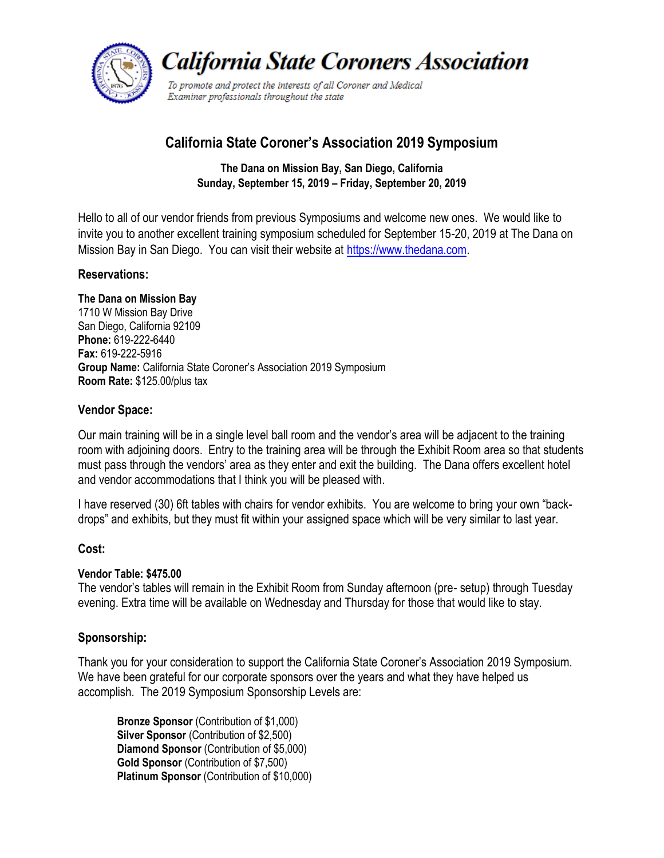

**California State Coroners Association** 

To promote and protect the interests of all Coroner and Medical Examiner professionals throughout the state

# **California State Coroner's Association 2019 Symposium**

**The Dana on Mission Bay, San Diego, California Sunday, September 15, 2019 – Friday, September 20, 2019**

Hello to all of our vendor friends from previous Symposiums and welcome new ones. We would like to invite you to another excellent training symposium scheduled for September 15-20, 2019 at The Dana on Mission Bay in San Diego. You can visit their website at [https://www.thedana.com.](https://www.thedana.com/)

## **Reservations:**

**The Dana on Mission Bay** 1710 W Mission Bay Drive San Diego, California 92109 **Phone:** 619-222-6440 **Fax:** 619-222-5916 **Group Name:** California State Coroner's Association 2019 Symposium **Room Rate:** \$125.00/plus tax

#### **Vendor Space:**

Our main training will be in a single level ball room and the vendor's area will be adjacent to the training room with adjoining doors. Entry to the training area will be through the Exhibit Room area so that students must pass through the vendors' area as they enter and exit the building. The Dana offers excellent hotel and vendor accommodations that I think you will be pleased with.

I have reserved (30) 6ft tables with chairs for vendor exhibits. You are welcome to bring your own "backdrops" and exhibits, but they must fit within your assigned space which will be very similar to last year.

#### **Cost:**

#### **Vendor Table: \$475.00**

The vendor's tables will remain in the Exhibit Room from Sunday afternoon (pre- setup) through Tuesday evening. Extra time will be available on Wednesday and Thursday for those that would like to stay.

# **Sponsorship:**

Thank you for your consideration to support the California State Coroner's Association 2019 Symposium. We have been grateful for our corporate sponsors over the years and what they have helped us accomplish. The 2019 Symposium Sponsorship Levels are:

**Bronze Sponsor** (Contribution of \$1,000) **Silver Sponsor** (Contribution of \$2,500) **Diamond Sponsor** (Contribution of \$5,000) **Gold Sponsor** (Contribution of \$7,500) **Platinum Sponsor** (Contribution of \$10,000)